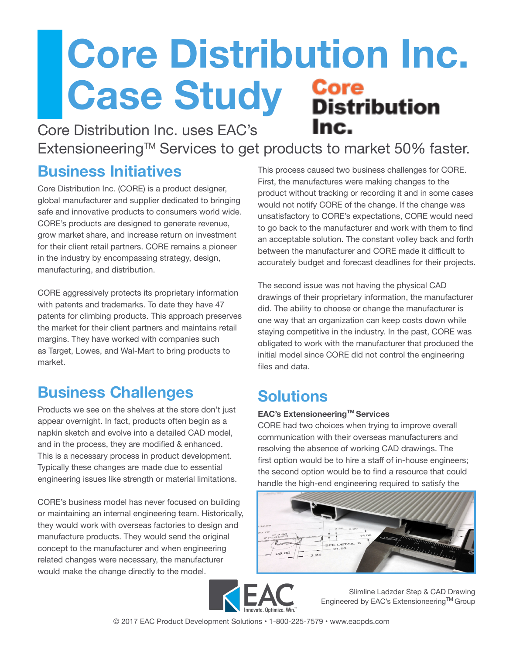# **Core Distribution Inc. Case Study Core**<br>Distribution Inc.

Core Distribution Inc. uses EAC's

Extensioneering™ Services to get products to market 50% faster.

#### **Business Initiatives**

Core Distribution Inc. (CORE) is a product designer, global manufacturer and supplier dedicated to bringing safe and innovative products to consumers world wide. CORE's products are designed to generate revenue, grow market share, and increase return on investment for their client retail partners. CORE remains a pioneer in the industry by encompassing strategy, design, manufacturing, and distribution.

CORE aggressively protects its proprietary information with patents and trademarks. To date they have 47 patents for climbing products. This approach preserves the market for their client partners and maintains retail margins. They have worked with companies such as Target, Lowes, and Wal-Mart to bring products to market.

### **Business Challenges**

Products we see on the shelves at the store don't just appear overnight. In fact, products often begin as a napkin sketch and evolve into a detailed CAD model, and in the process, they are modified & enhanced. This is a necessary process in product development. Typically these changes are made due to essential engineering issues like strength or material limitations.

CORE's business model has never focused on building or maintaining an internal engineering team. Historically, they would work with overseas factories to design and manufacture products. They would send the original concept to the manufacturer and when engineering related changes were necessary, the manufacturer would make the change directly to the model.

This process caused two business challenges for CORE. First, the manufactures were making changes to the product without tracking or recording it and in some cases would not notify CORE of the change. If the change was unsatisfactory to CORE's expectations, CORE would need to go back to the manufacturer and work with them to find an acceptable solution. The constant volley back and forth between the manufacturer and CORE made it difficult to accurately budget and forecast deadlines for their projects.

The second issue was not having the physical CAD drawings of their proprietary information, the manufacturer did. The ability to choose or change the manufacturer is one way that an organization can keep costs down while staying competitive in the industry. In the past, CORE was obligated to work with the manufacturer that produced the initial model since CORE did not control the engineering files and data.

## **Solutions**

#### **EAC's ExtensioneeringTM Services**

CORE had two choices when trying to improve overall communication with their overseas manufacturers and resolving the absence of working CAD drawings. The first option would be to hire a staff of in-house engineers; the second option would be to find a resource that could handle the high-end engineering required to satisfy the





Slimline Ladzder Step & CAD Drawing Engineered by EAC's Extensioneering™ Group